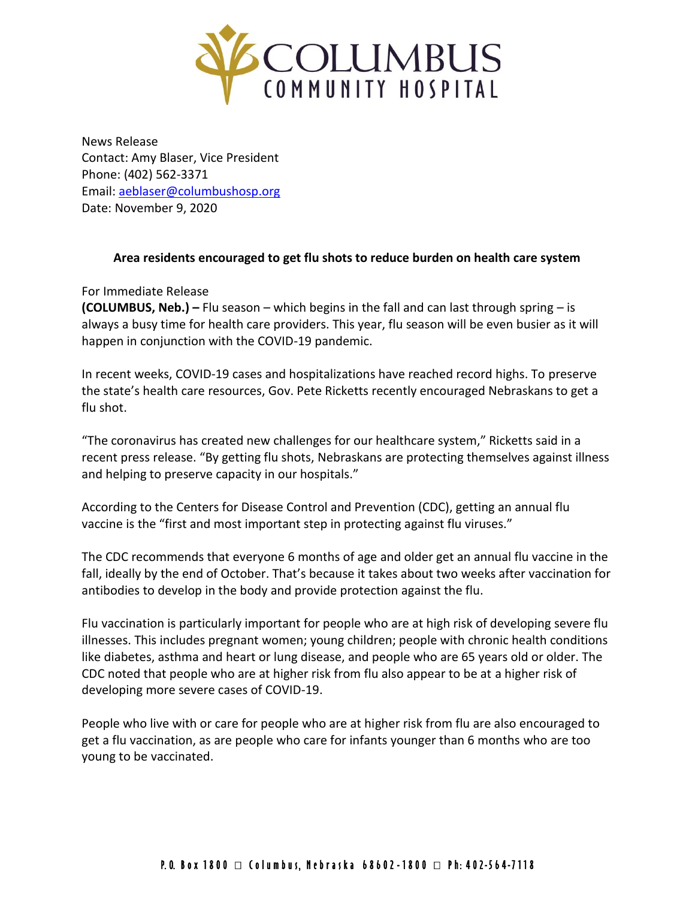

News Release Contact: Amy Blaser, Vice President Phone: (402) 562-3371 Email: [aeblaser@columbushosp.org](mailto:aeblaser@columbushosp.org) Date: November 9, 2020

## **Area residents encouraged to get flu shots to reduce burden on health care system**

For Immediate Release

**(COLUMBUS, Neb.) –** Flu season – which begins in the fall and can last through spring – is always a busy time for health care providers. This year, flu season will be even busier as it will happen in conjunction with the COVID-19 pandemic.

In recent weeks, COVID-19 cases and hospitalizations have reached record highs. To preserve the state's health care resources, Gov. Pete Ricketts recently encouraged Nebraskans to get a flu shot.

"The coronavirus has created new challenges for our healthcare system," Ricketts said in a recent press release. "By getting flu shots, Nebraskans are protecting themselves against illness and helping to preserve capacity in our hospitals."

According to the Centers for Disease Control and Prevention (CDC), getting an annual flu vaccine is the "first and most important step in protecting against flu viruses."

The CDC recommends that everyone 6 months of age and older get an annual flu vaccine in the fall, ideally by the end of October. That's because it takes about two weeks after vaccination for antibodies to develop in the body and provide protection against the flu.

Flu vaccination is particularly important for people who are at high risk of developing severe flu illnesses. This includes pregnant women; young children; people with chronic health conditions like diabetes, asthma and heart or lung disease, and people who are 65 years old or older. The CDC noted that people who are at higher risk from flu also appear to be at a higher risk of developing more severe cases of COVID-19.

People who live with or care for people who are at higher risk from flu are also encouraged to get a flu vaccination, as are people who care for infants younger than 6 months who are too young to be vaccinated.